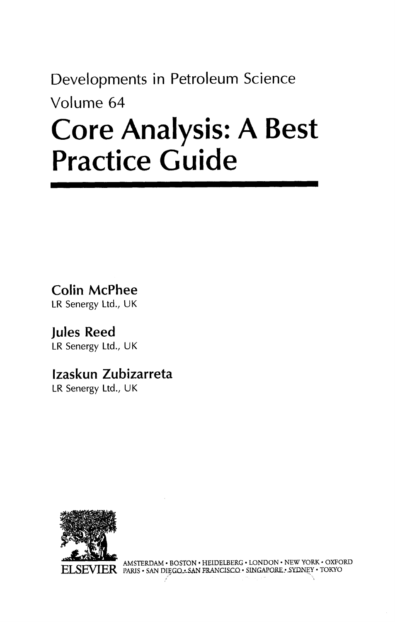## Developments in Petroleum Science Volume 64 Core Analysis: A Best Practice Guide

Colin McPhee

LR Senergy Ltd., UK

Jules Reed LR Senergy Ltd., UK

## Izaskun Zubizarreta

LR Senergy Ltd., UK



AMSTERDAM • BOSTON • HEIDELBERG • LONDON • NEW YORK • OXFORD PARIS • SAN DIEGQ • SAN FRANCISCO • SINGAPORE • SYDNEY • TOKYO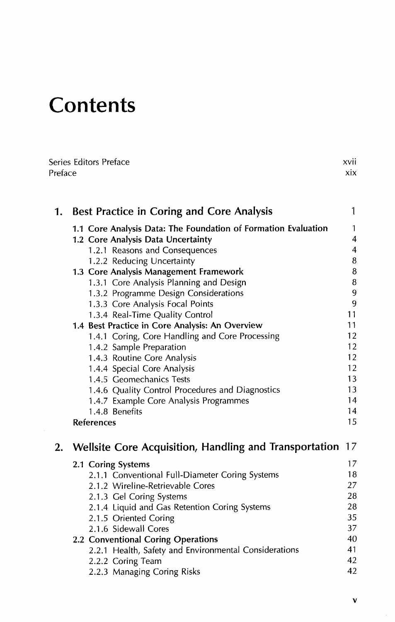## **Contents**

|    | Series Editors Preface<br>xvii<br>Preface<br>xix                    |        |  |
|----|---------------------------------------------------------------------|--------|--|
| 1. | <b>Best Practice in Coring and Core Analysis</b>                    | 1      |  |
|    | 1.1 Core Analysis Data: The Foundation of Formation Evaluation      | 1      |  |
|    | 1.2 Core Analysis Data Uncertainty                                  | 4      |  |
|    | 1.2.1 Reasons and Consequences                                      | 4      |  |
|    | 1.2.2 Reducing Uncertainty                                          | 8      |  |
|    | 1.3 Core Analysis Management Framework                              | 8      |  |
|    | 1.3.1 Core Analysis Planning and Design                             | 8<br>9 |  |
|    | 1.3.2 Programme Design Considerations                               | 9      |  |
|    | 1.3.3 Core Analysis Focal Points<br>1.3.4 Real-Time Quality Control | 11     |  |
|    | 1.4 Best Practice in Core Analysis: An Overview                     | 11     |  |
|    | 1.4.1 Coring, Core Handling and Core Processing                     | 12     |  |
|    | 1.4.2 Sample Preparation                                            | 12     |  |
|    | 1.4.3 Routine Core Analysis                                         | 12     |  |
|    | 1.4.4 Special Core Analysis                                         | 12     |  |
|    | 1.4.5 Geomechanics Tests                                            | 13     |  |
|    | 1.4.6 Quality Control Procedures and Diagnostics                    | 13     |  |
|    | 1.4.7 Example Core Analysis Programmes                              | 14     |  |
|    | 1.4.8 Benefits                                                      | 14     |  |
|    | <b>References</b>                                                   | 15     |  |
| 2. | Wellsite Core Acquisition, Handling and Transportation              | 17     |  |
|    | 2.1 Coring Systems                                                  | 17     |  |
|    | 2.1.1 Conventional Full-Diameter Coring Systems                     | 18     |  |
|    | 2.1.2 Wireline-Retrievable Cores                                    | 27     |  |
|    | 2.1.3 Gel Coring Systems                                            | 28     |  |
|    | 2.1.4 Liquid and Gas Retention Coring Systems                       | 28     |  |
|    | 2.1.5 Oriented Coring                                               | 35     |  |
|    | 2.1.6 Sidewall Cores                                                | 37     |  |

## 2.2 Conventional Coring Operations **40** 40

| 2.2.1 Health, Safety and Environmental Considerations | 41 |
|-------------------------------------------------------|----|
| 2.2.2 Coring Team                                     | 42 |
| 2.2.3 Managing Coring Risks                           | 42 |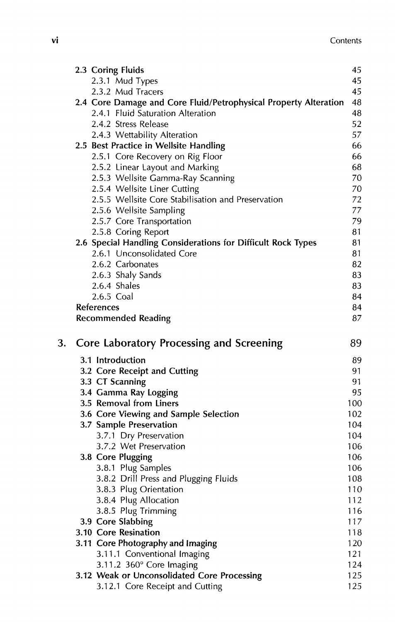|    | 2.3 Coring Fluids                                                              | 45         |
|----|--------------------------------------------------------------------------------|------------|
|    | 2.3.1 Mud Types                                                                | 45         |
|    | 2.3.2 Mud Tracers                                                              | 45         |
|    | 2.4 Core Damage and Core Fluid/Petrophysical Property Alteration               | 48         |
|    | 2.4.1 Fluid Saturation Alteration                                              | 48         |
|    | 2.4.2 Stress Release                                                           | 52         |
|    | 2.4.3 Wettability Alteration                                                   | 57         |
|    | 2.5 Best Practice in Wellsite Handling                                         | 66         |
|    | 2.5.1 Core Recovery on Rig Floor                                               | 66         |
|    | 2.5.2 Linear Layout and Marking                                                | 68         |
|    | 2.5.3 Wellsite Gamma-Ray Scanning                                              | 70         |
|    | 2.5.4 Wellsite Liner Cutting                                                   | 70         |
|    | 2.5.5 Wellsite Core Stabilisation and Preservation                             | 72         |
|    | 2.5.6 Wellsite Sampling                                                        | 77         |
|    | 2.5.7 Core Transportation                                                      | 79         |
|    | 2.5.8 Coring Report                                                            | 81         |
|    | 2.6 Special Handling Considerations for Difficult Rock Types                   | 81         |
|    | 2.6.1 Unconsolidated Core                                                      | 81         |
|    | 2.6.2 Carbonates                                                               | 82         |
|    | 2.6.3 Shaly Sands                                                              | 83         |
|    | 2.6.4 Shales<br>2.6.5 Coal                                                     | 83<br>84   |
|    | References                                                                     | 84         |
|    | <b>Recommended Reading</b>                                                     | 87         |
|    |                                                                                |            |
| 3. | Core Laboratory Processing and Screening                                       | 89         |
|    | 3.1 Introduction                                                               | 89         |
|    | 3.2 Core Receipt and Cutting                                                   | 91         |
|    | 3.3 CT Scanning                                                                | 91         |
|    | 3.4 Gamma Ray Logging                                                          | 95         |
|    | 3.5 Removal from Liners                                                        | 100        |
|    | 3.6 Core Viewing and Sample Selection                                          | 102        |
|    | 3.7 Sample Preservation                                                        | 104        |
|    | 3.7.1 Dry Preservation                                                         | 104        |
|    | 3.7.2 Wet Preservation                                                         | 106        |
|    |                                                                                |            |
|    | 3.8 Core Plugging                                                              | 106        |
|    | 3.8.1 Plug Samples                                                             | 106        |
|    | 3.8.2 Drill Press and Plugging Fluids                                          | 108        |
|    | 3.8.3 Plug Orientation                                                         | 110        |
|    | 3.8.4 Plug Allocation                                                          | 112        |
|    | 3.8.5 Plug Trimming                                                            | 116        |
|    | 3.9 Core Slabbing                                                              | 117        |
|    | 3.10 Core Resination                                                           | 118        |
|    | 3.11 Core Photography and Imaging                                              | 120        |
|    | 3.11.1 Conventional Imaging                                                    | 121        |
|    | 3.11.2 360° Core Imaging                                                       | 124        |
|    | 3.12 Weak or Unconsolidated Core Processing<br>3.12.1 Core Receipt and Cutting | 125<br>125 |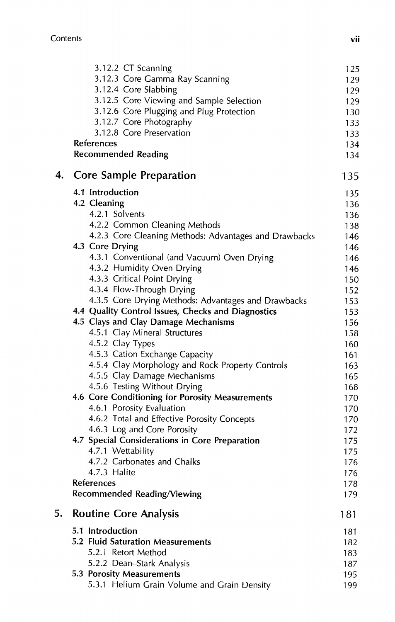|    | 3.12.2 CT Scanning                                    | 125        |
|----|-------------------------------------------------------|------------|
|    | 3.12.3 Core Gamma Ray Scanning                        | 129        |
|    | 3.12.4 Core Slabbing                                  | 129        |
|    | 3.12.5 Core Viewing and Sample Selection              | 129        |
|    | 3.12.6 Core Plugging and Plug Protection              | 130        |
|    | 3.12.7 Core Photography                               | 133        |
|    | 3.12.8 Core Preservation                              | 133        |
|    | References                                            | 134        |
|    | <b>Recommended Reading</b>                            | 134        |
| 4. | Core Sample Preparation                               | 135        |
|    | 4.1 Introduction                                      | 135        |
|    | 4.2 Cleaning                                          | 136        |
|    | 4.2.1 Solvents                                        | 136        |
|    | 4.2.2 Common Cleaning Methods                         | 138        |
|    | 4.2.3 Core Cleaning Methods: Advantages and Drawbacks | 146        |
|    | 4.3 Core Drying                                       | 146        |
|    | 4.3.1 Conventional (and Vacuum) Oven Drying           | 146        |
|    | 4.3.2 Humidity Oven Drying                            | 146        |
|    | 4.3.3 Critical Point Drying                           | 150        |
|    | 4.3.4 Flow-Through Drying                             | 152        |
|    | 4.3.5 Core Drying Methods: Advantages and Drawbacks   | 153        |
|    | 4.4 Quality Control Issues, Checks and Diagnostics    | 153        |
|    | 4.5 Clays and Clay Damage Mechanisms                  | 156        |
|    | 4.5.1 Clay Mineral Structures                         | 158        |
|    | 4.5.2 Clay Types                                      | 160        |
|    | 4.5.3 Cation Exchange Capacity                        | 161        |
|    | 4.5.4 Clay Morphology and Rock Property Controls      | 163        |
|    | 4.5.5 Clay Damage Mechanisms                          | 165        |
|    | 4.5.6 Testing Without Drying                          | 168        |
|    | 4.6 Core Conditioning for Porosity Measurements       | 170        |
|    | 4.6.1 Porosity Evaluation                             | 170        |
|    | 4.6.2 Total and Effective Porosity Concepts           | 170        |
|    | 4.6.3 Log and Core Porosity                           | 172        |
|    | 4.7 Special Considerations in Core Preparation        | 175        |
|    | 4.7.1 Wettability                                     | 175        |
|    | 4.7.2 Carbonates and Chalks                           | 176        |
|    | 4.7.3 Halite                                          | 176        |
|    | References<br><b>Recommended Reading/Viewing</b>      | 178<br>179 |
| 5. | <b>Routine Core Analysis</b>                          | 181        |
|    | 5.1 Introduction                                      | 181        |
|    | 5.2 Fluid Saturation Measurements                     | 182        |
|    | 5.2.1 Retort Method                                   | 183        |
|    | 5.2.2 Dean-Stark Analysis                             | 187        |
|    | 5.3 Porosity Measurements                             | 195        |
|    | 5.3.1 Helium Grain Volume and Grain Density           | 199        |
|    |                                                       |            |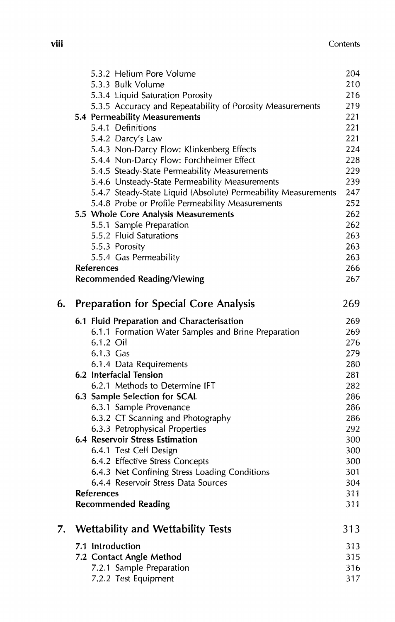| $$   | Contents |
|------|----------|
| VIII |          |

|    | 5.3.2 Helium Pore Volume                                       | 204 |
|----|----------------------------------------------------------------|-----|
|    | 5.3.3 Bulk Volume                                              | 210 |
|    | 5.3.4 Liquid Saturation Porosity                               | 216 |
|    | 5.3.5 Accuracy and Repeatability of Porosity Measurements      | 219 |
|    | 5.4 Permeability Measurements                                  | 221 |
|    | 5.4.1 Definitions                                              | 221 |
|    | 5.4.2 Darcy's Law                                              | 221 |
|    | 5.4.3 Non-Darcy Flow: Klinkenberg Effects                      | 224 |
|    | 5.4.4 Non-Darcy Flow: Forchheimer Effect                       | 228 |
|    | 5.4.5 Steady-State Permeability Measurements                   | 229 |
|    | 5.4.6 Unsteady-State Permeability Measurements                 | 239 |
|    | 5.4.7 Steady-State Liquid (Absolute) Permeability Measurements | 247 |
|    | 5.4.8 Probe or Profile Permeability Measurements               | 252 |
|    | 5.5 Whole Core Analysis Measurements                           | 262 |
|    | 5.5.1 Sample Preparation                                       | 262 |
|    | 5.5.2 Fluid Saturations                                        | 263 |
|    | 5.5.3 Porosity                                                 | 263 |
|    | 5.5.4 Gas Permeability                                         | 263 |
|    | <b>References</b>                                              | 266 |
|    | Recommended Reading/Viewing                                    | 267 |
| 6. | <b>Preparation for Special Core Analysis</b>                   | 269 |
|    | 6.1 Fluid Preparation and Characterisation                     | 269 |
|    | 6.1.1 Formation Water Samples and Brine Preparation            | 269 |
|    | 6.1.2 Oil                                                      | 276 |
|    | 6.1.3 Gas                                                      | 279 |
|    | 6.1.4 Data Requirements                                        | 280 |
|    | 6.2 Interfacial Tension                                        | 281 |
|    | 6.2.1 Methods to Determine IFT                                 | 282 |
|    | 6.3 Sample Selection for SCAL                                  | 286 |
|    | 6.3.1 Sample Provenance                                        | 286 |
|    | 6.3.2 CT Scanning and Photography                              | 286 |
|    | 6.3.3 Petrophysical Properties                                 | 292 |
|    | 6.4 Reservoir Stress Estimation                                | 300 |
|    | 6.4.1 Test Cell Design                                         | 300 |
|    | 6.4.2 Effective Stress Concepts                                | 300 |
|    | 6.4.3 Net Confining Stress Loading Conditions                  | 301 |
|    | 6.4.4 Reservoir Stress Data Sources                            | 304 |
|    | <b>References</b>                                              | 311 |
|    | <b>Recommended Reading</b>                                     | 311 |
| 7. | <b>Wettability and Wettability Tests</b>                       | 313 |
|    | 7.1 Introduction                                               | 313 |
|    | 7.2 Contact Angle Method                                       | 315 |
|    | 7.2.1 Sample Preparation                                       | 316 |
|    | 7.2.2 Test Equipment                                           | 317 |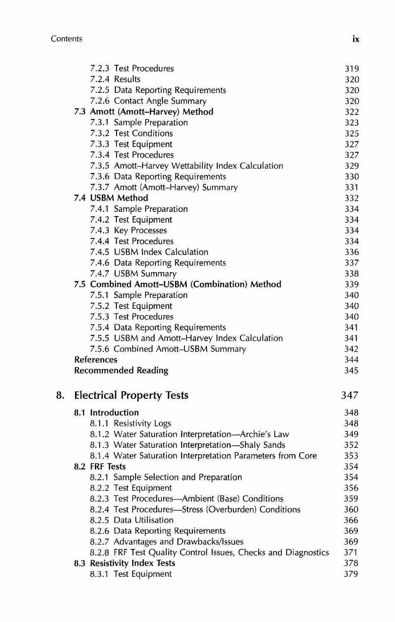|    |               | 7.2.3 Test Procedures                                         | 319 |
|----|---------------|---------------------------------------------------------------|-----|
|    |               | 7.2.4 Results                                                 | 32C |
|    |               | 7.2.5 Data Reporting Requirements                             | 32C |
|    |               | 7.2.6 Contact Angle Summary                                   | 32C |
|    |               | 7.3 Amott (Amott-Harvey) Method                               | 322 |
|    |               | 7.3.1 Sample Preparation                                      | 323 |
|    |               | 7.3.2 Test Conditions                                         | 325 |
|    |               | 7.3.3 Test Equipment                                          | 327 |
|    |               | 7.3.4 Test Procedures                                         | 327 |
|    |               | 7.3.5 Amott-Harvey Wettability Index Calculation              | 329 |
|    |               | 7.3.6 Data Reporting Requirements                             | 33C |
|    |               | 7.3.7 Amott (Amott-Harvey) Summary                            | 331 |
|    |               | 7.4 USBM Method                                               | 332 |
|    |               | 7.4.1 Sample Preparation                                      | 334 |
|    |               | 7.4.2 Test Equipment                                          | 334 |
|    |               | 7.4.3 Key Processes                                           | 334 |
|    |               | 7.4.4 Test Procedures                                         | 334 |
|    |               | 7.4.5 USBM Index Calculation                                  | 336 |
|    |               | 7.4.6 Data Reporting Requirements                             | 337 |
|    |               | 7.4.7 USBM Summary                                            | 338 |
|    |               | 7.5 Combined Amott-USBM (Combination) Method                  | 339 |
|    |               | 7.5.1 Sample Preparation                                      | 340 |
|    |               | 7.5.2 Test Equipment                                          | 340 |
|    |               | 7.5.3 Test Procedures                                         | 340 |
|    |               | 7.5.4 Data Reporting Requirements                             | 341 |
|    |               | 7.5.5 USBM and Amott-Harvey Index Calculation                 | 341 |
|    |               | 7.5.6 Combined Amott-USBM Summary                             | 342 |
|    | References    |                                                               | 344 |
|    |               | <b>Recommended Reading</b>                                    | 345 |
| 8. |               | <b>Electrical Property Tests</b>                              | 347 |
|    |               | 8.1 Introduction                                              | 348 |
|    |               | 8.1.1 Resistivity Logs                                        | 348 |
|    |               | 8.1.2 Water Saturation Interpretation-Archie's Law            | 349 |
|    |               | 8.1.3 Water Saturation Interpretation—Shaly Sands             | 352 |
|    |               | 8.1.4 Water Saturation Interpretation Parameters from Core    | 353 |
|    | 8.2 FRF Tests |                                                               | 354 |
|    |               | 8.2.1 Sample Selection and Preparation                        | 354 |
|    |               | 8.2.2 Test Equipment                                          | 356 |
|    |               | 8.2.3 Test Procedures-Ambient (Base) Conditions               | 359 |
|    |               | 8.2.4 Test Procedures-Stress (Overburden) Conditions          | 360 |
|    |               | 8.2.5 Data Utilisation                                        | 366 |
|    |               | 8.2.6 Data Reporting Requirements                             | 369 |
|    |               | 8.2.7 Advantages and Drawbacks/Issues                         | 369 |
|    |               | 8.2.8 FRF Test Quality Control Issues, Checks and Diagnostics | 371 |
|    |               | 8.3 Resistivity Index Tests                                   | 378 |
|    |               | 8.3.1 Test Equipment                                          | 379 |
|    |               |                                                               |     |

 $i\mathbf{x}$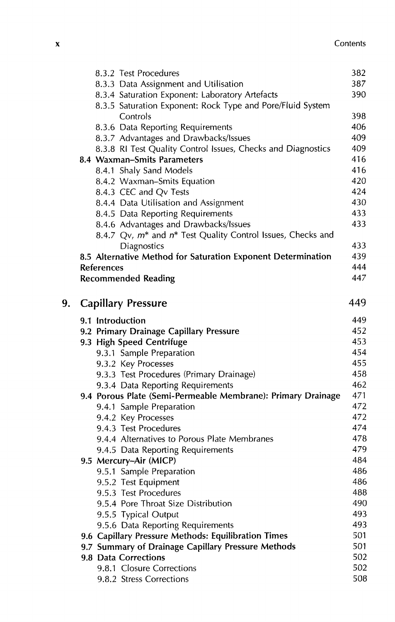|    | 8.3.2 Test Procedures                                                               | 382 |
|----|-------------------------------------------------------------------------------------|-----|
|    | 8.3.3 Data Assignment and Utilisation                                               | 387 |
|    | 8.3.4 Saturation Exponent: Laboratory Artefacts                                     | 390 |
|    | 8.3.5 Saturation Exponent: Rock Type and Pore/Fluid System                          |     |
|    | Controls                                                                            | 398 |
|    | 8.3.6 Data Reporting Requirements                                                   | 406 |
|    | 8.3.7 Advantages and Drawbacks/Issues                                               | 409 |
|    | 8.3.8 RI Test Quality Control Issues, Checks and Diagnostics                        | 409 |
|    | 8.4 Waxman-Smits Parameters                                                         | 416 |
|    | 8.4.1 Shaly Sand Models                                                             | 416 |
|    | 8.4.2 Waxman-Smits Equation                                                         | 420 |
|    | 8.4.3 CEC and Qv Tests                                                              | 424 |
|    | 8.4.4 Data Utilisation and Assignment                                               | 430 |
|    | 8.4.5 Data Reporting Requirements                                                   | 433 |
|    | 8.4.6 Advantages and Drawbacks/Issues                                               | 433 |
|    | 8.4.7 Qv, m <sup>*</sup> and n <sup>*</sup> Test Quality Control Issues, Checks and |     |
|    | Diagnostics                                                                         | 433 |
|    | 8.5 Alternative Method for Saturation Exponent Determination                        | 439 |
|    | References                                                                          | 444 |
|    | <b>Recommended Reading</b>                                                          | 447 |
| 9. | <b>Capillary Pressure</b>                                                           | 449 |
|    | 9.1 Introduction                                                                    | 449 |
|    | 9.2 Primary Drainage Capillary Pressure                                             | 452 |
|    | 9.3 High Speed Centrifuge                                                           | 453 |
|    | 9.3.1 Sample Preparation                                                            | 454 |
|    | 9.3.2 Key Processes                                                                 | 455 |
|    | 9.3.3 Test Procedures (Primary Drainage)                                            | 458 |
|    | 9.3.4 Data Reporting Requirements                                                   | 462 |
|    | 9.4 Porous Plate (Semi-Permeable Membrane): Primary Drainage                        | 471 |
|    | 9.4.1 Sample Preparation                                                            | 472 |
|    | 9.4.2 Key Processes                                                                 | 472 |
|    | 9.4.3 Test Procedures                                                               | 474 |
|    | 9.4.4 Alternatives to Porous Plate Membranes                                        | 478 |
|    | 9.4.5 Data Reporting Requirements                                                   | 479 |
|    | 9.5 Mercury-Air (MICP)                                                              | 484 |
|    | 9.5.1 Sample Preparation                                                            | 486 |
|    | 9.5.2 Test Equipment                                                                | 486 |
|    | 9.5.3 Test Procedures                                                               | 488 |
|    | 9.5.4 Pore Throat Size Distribution                                                 | 490 |
|    | 9.5.5 Typical Output                                                                | 493 |
|    | 9.5.6 Data Reporting Requirements                                                   | 493 |
|    | 9.6 Capillary Pressure Methods: Equilibration Times                                 | 501 |
|    | 9.7 Summary of Drainage Capillary Pressure Methods                                  | 501 |
|    | 9.8 Data Corrections                                                                | 502 |
|    | 9.8.1 Closure Corrections                                                           | 502 |
|    | 9.8.2 Stress Corrections                                                            | 508 |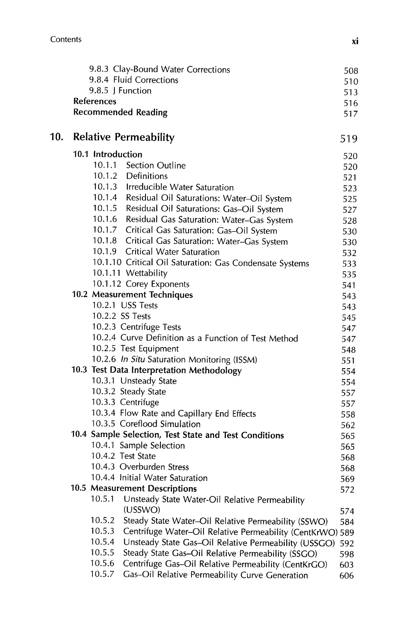| 9.8.4 Fluid Corrections<br>9.8.5 J Function<br>References<br><b>Recommended Reading</b><br>10.<br><b>Relative Permeability</b><br>10.1 Introduction<br>10.1.1 Section Outline<br>10.1.2 Definitions<br>10.1.3 Irreducible Water Saturation<br>10.1.4 Residual Oil Saturations: Water-Oil System<br>10.1.5 Residual Oil Saturations: Gas-Oil System<br>10.1.6 Residual Gas Saturation: Water-Gas System<br>10.1.7 Critical Gas Saturation: Gas-Oil System<br>10.1.8 Critical Gas Saturation: Water-Gas System<br>10.1.9 Critical Water Saturation<br>10.1.10 Critical Oil Saturation: Gas Condensate Systems<br>10.1.11 Wettability<br>10.1.12 Corey Exponents<br>10.2 Measurement Techniques<br>10.2.1 USS Tests<br>10.2.2 SS Tests<br>10.2.3 Centrifuge Tests<br>10.2.4 Curve Definition as a Function of Test Method<br>10.2.5 Test Equipment<br>10.2.6 In Situ Saturation Monitoring (ISSM)<br>10.3 Test Data Interpretation Methodology<br>10.3.1 Unsteady State<br>10.3.2 Steady State<br>10.3.3 Centrifuge<br>10.3.4 Flow Rate and Capillary End Effects<br>10.3.5 Coreflood Simulation<br>10.4 Sample Selection, Test State and Test Conditions<br>10.4.1 Sample Selection<br>10.4.2 Test State<br>10.4.3 Overburden Stress<br>10.4.4 Initial Water Saturation<br>10.5 Measurement Descriptions<br>10.5.1<br>Unsteady State Water-Oil Relative Permeability<br>(USSWO)<br>10.5.2<br>Steady State Water-Oil Relative Permeability (SSWO)<br>10.5.3<br>Centrifuge Water-Oil Relative Permeability (CentKrWO) 589<br>10.5.4<br>Unsteady State Gas-Oil Relative Permeability (USSGO)<br>10.5.5<br>Steady State Gas-Oil Relative Permeability (SSGO)<br>10.5.6<br>Centrifuge Gas-Oil Relative Permeability (CentKrGO) |  |        | 9.8.3 Clay-Bound Water Corrections             | 508 |
|-------------------------------------------------------------------------------------------------------------------------------------------------------------------------------------------------------------------------------------------------------------------------------------------------------------------------------------------------------------------------------------------------------------------------------------------------------------------------------------------------------------------------------------------------------------------------------------------------------------------------------------------------------------------------------------------------------------------------------------------------------------------------------------------------------------------------------------------------------------------------------------------------------------------------------------------------------------------------------------------------------------------------------------------------------------------------------------------------------------------------------------------------------------------------------------------------------------------------------------------------------------------------------------------------------------------------------------------------------------------------------------------------------------------------------------------------------------------------------------------------------------------------------------------------------------------------------------------------------------------------------------------------------------------------------------------------------------------------|--|--------|------------------------------------------------|-----|
|                                                                                                                                                                                                                                                                                                                                                                                                                                                                                                                                                                                                                                                                                                                                                                                                                                                                                                                                                                                                                                                                                                                                                                                                                                                                                                                                                                                                                                                                                                                                                                                                                                                                                                                         |  |        |                                                | 510 |
|                                                                                                                                                                                                                                                                                                                                                                                                                                                                                                                                                                                                                                                                                                                                                                                                                                                                                                                                                                                                                                                                                                                                                                                                                                                                                                                                                                                                                                                                                                                                                                                                                                                                                                                         |  |        |                                                | 513 |
|                                                                                                                                                                                                                                                                                                                                                                                                                                                                                                                                                                                                                                                                                                                                                                                                                                                                                                                                                                                                                                                                                                                                                                                                                                                                                                                                                                                                                                                                                                                                                                                                                                                                                                                         |  |        |                                                | 516 |
|                                                                                                                                                                                                                                                                                                                                                                                                                                                                                                                                                                                                                                                                                                                                                                                                                                                                                                                                                                                                                                                                                                                                                                                                                                                                                                                                                                                                                                                                                                                                                                                                                                                                                                                         |  |        |                                                | 517 |
|                                                                                                                                                                                                                                                                                                                                                                                                                                                                                                                                                                                                                                                                                                                                                                                                                                                                                                                                                                                                                                                                                                                                                                                                                                                                                                                                                                                                                                                                                                                                                                                                                                                                                                                         |  |        |                                                | 519 |
|                                                                                                                                                                                                                                                                                                                                                                                                                                                                                                                                                                                                                                                                                                                                                                                                                                                                                                                                                                                                                                                                                                                                                                                                                                                                                                                                                                                                                                                                                                                                                                                                                                                                                                                         |  |        |                                                | 520 |
|                                                                                                                                                                                                                                                                                                                                                                                                                                                                                                                                                                                                                                                                                                                                                                                                                                                                                                                                                                                                                                                                                                                                                                                                                                                                                                                                                                                                                                                                                                                                                                                                                                                                                                                         |  |        |                                                | 520 |
|                                                                                                                                                                                                                                                                                                                                                                                                                                                                                                                                                                                                                                                                                                                                                                                                                                                                                                                                                                                                                                                                                                                                                                                                                                                                                                                                                                                                                                                                                                                                                                                                                                                                                                                         |  |        |                                                | 521 |
|                                                                                                                                                                                                                                                                                                                                                                                                                                                                                                                                                                                                                                                                                                                                                                                                                                                                                                                                                                                                                                                                                                                                                                                                                                                                                                                                                                                                                                                                                                                                                                                                                                                                                                                         |  |        |                                                | 523 |
|                                                                                                                                                                                                                                                                                                                                                                                                                                                                                                                                                                                                                                                                                                                                                                                                                                                                                                                                                                                                                                                                                                                                                                                                                                                                                                                                                                                                                                                                                                                                                                                                                                                                                                                         |  |        |                                                | 525 |
|                                                                                                                                                                                                                                                                                                                                                                                                                                                                                                                                                                                                                                                                                                                                                                                                                                                                                                                                                                                                                                                                                                                                                                                                                                                                                                                                                                                                                                                                                                                                                                                                                                                                                                                         |  |        |                                                | 527 |
|                                                                                                                                                                                                                                                                                                                                                                                                                                                                                                                                                                                                                                                                                                                                                                                                                                                                                                                                                                                                                                                                                                                                                                                                                                                                                                                                                                                                                                                                                                                                                                                                                                                                                                                         |  |        |                                                | 528 |
|                                                                                                                                                                                                                                                                                                                                                                                                                                                                                                                                                                                                                                                                                                                                                                                                                                                                                                                                                                                                                                                                                                                                                                                                                                                                                                                                                                                                                                                                                                                                                                                                                                                                                                                         |  |        |                                                | 530 |
|                                                                                                                                                                                                                                                                                                                                                                                                                                                                                                                                                                                                                                                                                                                                                                                                                                                                                                                                                                                                                                                                                                                                                                                                                                                                                                                                                                                                                                                                                                                                                                                                                                                                                                                         |  |        |                                                | 530 |
|                                                                                                                                                                                                                                                                                                                                                                                                                                                                                                                                                                                                                                                                                                                                                                                                                                                                                                                                                                                                                                                                                                                                                                                                                                                                                                                                                                                                                                                                                                                                                                                                                                                                                                                         |  |        |                                                | 532 |
|                                                                                                                                                                                                                                                                                                                                                                                                                                                                                                                                                                                                                                                                                                                                                                                                                                                                                                                                                                                                                                                                                                                                                                                                                                                                                                                                                                                                                                                                                                                                                                                                                                                                                                                         |  |        |                                                | 533 |
|                                                                                                                                                                                                                                                                                                                                                                                                                                                                                                                                                                                                                                                                                                                                                                                                                                                                                                                                                                                                                                                                                                                                                                                                                                                                                                                                                                                                                                                                                                                                                                                                                                                                                                                         |  |        |                                                | 535 |
|                                                                                                                                                                                                                                                                                                                                                                                                                                                                                                                                                                                                                                                                                                                                                                                                                                                                                                                                                                                                                                                                                                                                                                                                                                                                                                                                                                                                                                                                                                                                                                                                                                                                                                                         |  |        |                                                | 541 |
|                                                                                                                                                                                                                                                                                                                                                                                                                                                                                                                                                                                                                                                                                                                                                                                                                                                                                                                                                                                                                                                                                                                                                                                                                                                                                                                                                                                                                                                                                                                                                                                                                                                                                                                         |  |        |                                                | 543 |
|                                                                                                                                                                                                                                                                                                                                                                                                                                                                                                                                                                                                                                                                                                                                                                                                                                                                                                                                                                                                                                                                                                                                                                                                                                                                                                                                                                                                                                                                                                                                                                                                                                                                                                                         |  |        |                                                | 543 |
|                                                                                                                                                                                                                                                                                                                                                                                                                                                                                                                                                                                                                                                                                                                                                                                                                                                                                                                                                                                                                                                                                                                                                                                                                                                                                                                                                                                                                                                                                                                                                                                                                                                                                                                         |  |        |                                                | 545 |
|                                                                                                                                                                                                                                                                                                                                                                                                                                                                                                                                                                                                                                                                                                                                                                                                                                                                                                                                                                                                                                                                                                                                                                                                                                                                                                                                                                                                                                                                                                                                                                                                                                                                                                                         |  |        |                                                | 547 |
|                                                                                                                                                                                                                                                                                                                                                                                                                                                                                                                                                                                                                                                                                                                                                                                                                                                                                                                                                                                                                                                                                                                                                                                                                                                                                                                                                                                                                                                                                                                                                                                                                                                                                                                         |  |        |                                                | 547 |
|                                                                                                                                                                                                                                                                                                                                                                                                                                                                                                                                                                                                                                                                                                                                                                                                                                                                                                                                                                                                                                                                                                                                                                                                                                                                                                                                                                                                                                                                                                                                                                                                                                                                                                                         |  |        |                                                | 548 |
|                                                                                                                                                                                                                                                                                                                                                                                                                                                                                                                                                                                                                                                                                                                                                                                                                                                                                                                                                                                                                                                                                                                                                                                                                                                                                                                                                                                                                                                                                                                                                                                                                                                                                                                         |  |        |                                                | 551 |
|                                                                                                                                                                                                                                                                                                                                                                                                                                                                                                                                                                                                                                                                                                                                                                                                                                                                                                                                                                                                                                                                                                                                                                                                                                                                                                                                                                                                                                                                                                                                                                                                                                                                                                                         |  |        |                                                | 554 |
|                                                                                                                                                                                                                                                                                                                                                                                                                                                                                                                                                                                                                                                                                                                                                                                                                                                                                                                                                                                                                                                                                                                                                                                                                                                                                                                                                                                                                                                                                                                                                                                                                                                                                                                         |  |        |                                                | 554 |
|                                                                                                                                                                                                                                                                                                                                                                                                                                                                                                                                                                                                                                                                                                                                                                                                                                                                                                                                                                                                                                                                                                                                                                                                                                                                                                                                                                                                                                                                                                                                                                                                                                                                                                                         |  |        |                                                | 557 |
|                                                                                                                                                                                                                                                                                                                                                                                                                                                                                                                                                                                                                                                                                                                                                                                                                                                                                                                                                                                                                                                                                                                                                                                                                                                                                                                                                                                                                                                                                                                                                                                                                                                                                                                         |  |        |                                                | 557 |
|                                                                                                                                                                                                                                                                                                                                                                                                                                                                                                                                                                                                                                                                                                                                                                                                                                                                                                                                                                                                                                                                                                                                                                                                                                                                                                                                                                                                                                                                                                                                                                                                                                                                                                                         |  |        |                                                | 558 |
|                                                                                                                                                                                                                                                                                                                                                                                                                                                                                                                                                                                                                                                                                                                                                                                                                                                                                                                                                                                                                                                                                                                                                                                                                                                                                                                                                                                                                                                                                                                                                                                                                                                                                                                         |  |        |                                                | 562 |
|                                                                                                                                                                                                                                                                                                                                                                                                                                                                                                                                                                                                                                                                                                                                                                                                                                                                                                                                                                                                                                                                                                                                                                                                                                                                                                                                                                                                                                                                                                                                                                                                                                                                                                                         |  |        |                                                | 565 |
|                                                                                                                                                                                                                                                                                                                                                                                                                                                                                                                                                                                                                                                                                                                                                                                                                                                                                                                                                                                                                                                                                                                                                                                                                                                                                                                                                                                                                                                                                                                                                                                                                                                                                                                         |  |        |                                                | 565 |
|                                                                                                                                                                                                                                                                                                                                                                                                                                                                                                                                                                                                                                                                                                                                                                                                                                                                                                                                                                                                                                                                                                                                                                                                                                                                                                                                                                                                                                                                                                                                                                                                                                                                                                                         |  |        |                                                | 568 |
|                                                                                                                                                                                                                                                                                                                                                                                                                                                                                                                                                                                                                                                                                                                                                                                                                                                                                                                                                                                                                                                                                                                                                                                                                                                                                                                                                                                                                                                                                                                                                                                                                                                                                                                         |  |        |                                                | 568 |
|                                                                                                                                                                                                                                                                                                                                                                                                                                                                                                                                                                                                                                                                                                                                                                                                                                                                                                                                                                                                                                                                                                                                                                                                                                                                                                                                                                                                                                                                                                                                                                                                                                                                                                                         |  |        |                                                | 569 |
|                                                                                                                                                                                                                                                                                                                                                                                                                                                                                                                                                                                                                                                                                                                                                                                                                                                                                                                                                                                                                                                                                                                                                                                                                                                                                                                                                                                                                                                                                                                                                                                                                                                                                                                         |  |        |                                                | 572 |
|                                                                                                                                                                                                                                                                                                                                                                                                                                                                                                                                                                                                                                                                                                                                                                                                                                                                                                                                                                                                                                                                                                                                                                                                                                                                                                                                                                                                                                                                                                                                                                                                                                                                                                                         |  |        |                                                | 574 |
|                                                                                                                                                                                                                                                                                                                                                                                                                                                                                                                                                                                                                                                                                                                                                                                                                                                                                                                                                                                                                                                                                                                                                                                                                                                                                                                                                                                                                                                                                                                                                                                                                                                                                                                         |  |        |                                                | 584 |
|                                                                                                                                                                                                                                                                                                                                                                                                                                                                                                                                                                                                                                                                                                                                                                                                                                                                                                                                                                                                                                                                                                                                                                                                                                                                                                                                                                                                                                                                                                                                                                                                                                                                                                                         |  |        |                                                |     |
|                                                                                                                                                                                                                                                                                                                                                                                                                                                                                                                                                                                                                                                                                                                                                                                                                                                                                                                                                                                                                                                                                                                                                                                                                                                                                                                                                                                                                                                                                                                                                                                                                                                                                                                         |  |        |                                                | 592 |
|                                                                                                                                                                                                                                                                                                                                                                                                                                                                                                                                                                                                                                                                                                                                                                                                                                                                                                                                                                                                                                                                                                                                                                                                                                                                                                                                                                                                                                                                                                                                                                                                                                                                                                                         |  |        |                                                | 598 |
|                                                                                                                                                                                                                                                                                                                                                                                                                                                                                                                                                                                                                                                                                                                                                                                                                                                                                                                                                                                                                                                                                                                                                                                                                                                                                                                                                                                                                                                                                                                                                                                                                                                                                                                         |  |        |                                                | 603 |
|                                                                                                                                                                                                                                                                                                                                                                                                                                                                                                                                                                                                                                                                                                                                                                                                                                                                                                                                                                                                                                                                                                                                                                                                                                                                                                                                                                                                                                                                                                                                                                                                                                                                                                                         |  | 10.5.7 | Gas-Oil Relative Permeability Curve Generation | 606 |

xi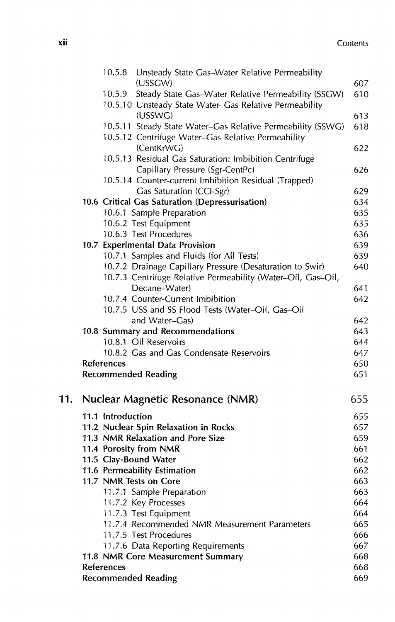|     | Unsteady State Gas-Water Relative Permeability<br>10.5.8<br>(USSGW) | 607 |
|-----|---------------------------------------------------------------------|-----|
|     | Steady State Gas-Water Relative Permeability (SSGW)<br>10.5.9       | 610 |
|     | 10.5.10 Unsteady State Water-Gas Relative Permeability              |     |
|     | (USSWG)                                                             | 613 |
|     | 10.5.11 Steady State Water-Gas Relative Permeability (SSWG)         | 618 |
|     | 10.5.12 Centrifuge Water-Gas Relative Permeability                  |     |
|     | (CentKrWG)                                                          | 622 |
|     | 10.5.13 Residual Gas Saturation: Imbibition Centrifuge              |     |
|     | Capillary Pressure (Sgr-CentPc)                                     | 626 |
|     | 10.5.14 Counter-current Imbibition Residual (Trapped)               |     |
|     | Gas Saturation (CCI-Sgr)                                            | 629 |
|     | 10.6 Critical Gas Saturation (Depressurisation)                     | 634 |
|     | 10.6.1 Sample Preparation                                           | 635 |
|     | 10.6.2 Test Equipment                                               | 635 |
|     | 10.6.3 Test Procedures                                              | 636 |
|     | 10.7 Experimental Data Provision                                    | 639 |
|     | 10.7.1 Samples and Fluids (for All Tests)                           | 639 |
|     | 10.7.2 Drainage Capillary Pressure (Desaturation to Swir)           | 640 |
|     | 10.7.3 Centrifuge Relative Permeability (Water-Oil, Gas-Oil,        |     |
|     | Decane-Water)                                                       | 641 |
|     | 10.7.4 Counter-Current Imbibition                                   | 642 |
|     | 10.7.5 USS and SS Flood Tests (Water-Oil, Gas-Oil                   |     |
|     | and Water-Gas)                                                      | 642 |
|     | 10.8 Summary and Recommendations                                    | 643 |
|     | 10.8.1 Oil Reservoirs                                               | 644 |
|     | 10.8.2 Gas and Gas Condensate Reservoirs                            | 647 |
|     | References                                                          | 650 |
|     | <b>Recommended Reading</b>                                          | 651 |
| 11. | <b>Nuclear Magnetic Resonance (NMR)</b>                             | 655 |
|     | 11.1 Introduction                                                   | 655 |
|     | 11.2 Nuclear Spin Relaxation in Rocks                               | 657 |
|     | 11.3 NMR Relaxation and Pore Size                                   | 659 |
|     | 11.4 Porosity from NMR                                              | 661 |
|     | 11.5 Clay-Bound Water                                               | 662 |
|     | 11.6 Permeability Estimation                                        | 662 |
|     | 11.7 NMR Tests on Core                                              | 663 |
|     | 11.7.1 Sample Preparation                                           | 663 |
|     | 11.7.2 Key Processes                                                | 664 |
|     | 11.7.3 Test Equipment                                               | 664 |
|     | 11.7.4 Recommended NMR Measurement Parameters                       | 665 |
|     | 11.7.5 Test Procedures                                              | 666 |
|     | 11.7.6 Data Reporting Requirements                                  | 667 |
|     | 11.8 NMR Core Measurement Summary                                   | 668 |
|     | <b>References</b>                                                   | 668 |
|     | <b>Recommended Reading</b>                                          | 669 |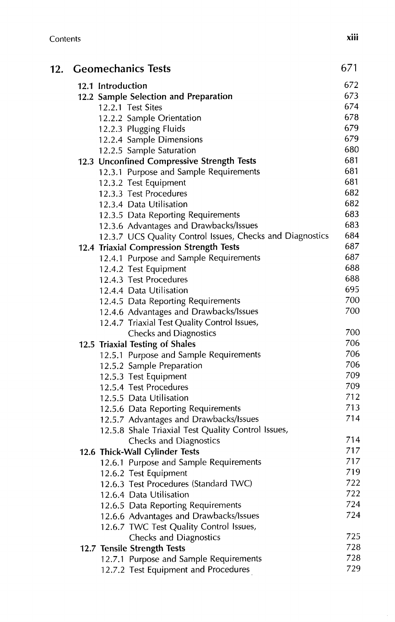| 12. Geomechanics Tests          |                                                                                    | 671        |
|---------------------------------|------------------------------------------------------------------------------------|------------|
| 12.1 Introduction               |                                                                                    | 672        |
|                                 | 12.2 Sample Selection and Preparation                                              | 673        |
| 12.2.1 Test Sites               |                                                                                    | 674        |
|                                 | 12.2.2 Sample Orientation                                                          | 678        |
|                                 | 12.2.3 Plugging Fluids                                                             | 679        |
|                                 | 12.2.4 Sample Dimensions                                                           | 679        |
|                                 | 12.2.5 Sample Saturation                                                           | 680        |
|                                 | 12.3 Unconfined Compressive Strength Tests                                         | 681        |
|                                 | 12.3.1 Purpose and Sample Requirements                                             | 681        |
|                                 | 12.3.2 Test Equipment                                                              | 681        |
|                                 | 12.3.3 Test Procedures                                                             | 682        |
|                                 | 12.3.4 Data Utilisation                                                            | 682        |
|                                 | 12.3.5 Data Reporting Requirements                                                 | 683        |
|                                 | 12.3.6 Advantages and Drawbacks/Issues                                             | 683<br>684 |
|                                 | 12.3.7 UCS Quality Control Issues, Checks and Diagnostics                          | 687        |
|                                 | 12.4 Triaxial Compression Strength Tests<br>12.4.1 Purpose and Sample Requirements | 687        |
|                                 |                                                                                    | 688        |
|                                 | 12.4.2 Test Equipment<br>12.4.3 Test Procedures                                    | 688        |
|                                 | 12.4.4 Data Utilisation                                                            | 695        |
|                                 | 12.4.5 Data Reporting Requirements                                                 | 700        |
|                                 | 12.4.6 Advantages and Drawbacks/Issues                                             | 700        |
|                                 | 12.4.7 Triaxial Test Quality Control Issues,                                       |            |
|                                 | <b>Checks and Diagnostics</b>                                                      | 700        |
| 12.5 Triaxial Testing of Shales |                                                                                    | 706        |
|                                 | 12.5.1 Purpose and Sample Requirements                                             | 706        |
|                                 | 12.5.2 Sample Preparation                                                          | 706        |
|                                 | 12.5.3 Test Equipment                                                              | 709        |
|                                 | 12.5.4 Test Procedures                                                             | 709        |
|                                 | 12.5.5 Data Utilisation                                                            | 712        |
|                                 | 12.5.6 Data Reporting Requirements                                                 | 713        |
|                                 | 12.5.7 Advantages and Drawbacks/Issues                                             | 714        |
|                                 | 12.5.8 Shale Triaxial Test Quality Control Issues,                                 |            |
|                                 | Checks and Diagnostics                                                             | 714        |
|                                 | 12.6 Thick-Wall Cylinder Tests                                                     | 717        |
|                                 | 12.6.1 Purpose and Sample Requirements                                             | 717        |
|                                 | 12.6.2 Test Equipment                                                              | 719        |
|                                 | 12.6.3 Test Procedures (Standard TWC)                                              | 722        |
|                                 | 12.6.4 Data Utilisation                                                            | 722        |
|                                 | 12.6.5 Data Reporting Requirements                                                 | 724        |
|                                 | 12.6.6 Advantages and Drawbacks/Issues                                             | 724        |
|                                 | 12.6.7 TWC Test Quality Control Issues,                                            |            |
|                                 | Checks and Diagnostics                                                             | 725        |
| 12.7 Tensile Strength Tests     |                                                                                    | 728        |
|                                 | 12.7.1 Purpose and Sample Requirements                                             | 728        |
|                                 | 12.7.2 Test Equipment and Procedures                                               | 729        |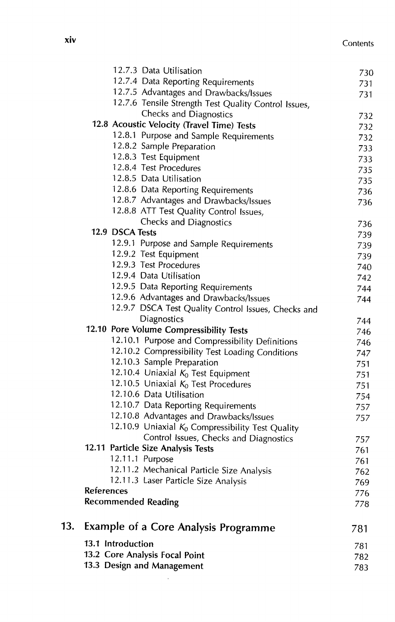|     | 13.3 Design and Management                                           | 782<br>783 |
|-----|----------------------------------------------------------------------|------------|
|     | 13.1 Introduction<br>13.2 Core Analysis Focal Point                  | 781        |
| 13. | <b>Example of a Core Analysis Programme</b>                          | 781        |
|     | <b>Recommended Reading</b>                                           | 778        |
|     | References                                                           | 769<br>776 |
|     | 12.11.3 Laser Particle Size Analysis                                 | 762        |
|     | 12.11.1 Purpose<br>12.11.2 Mechanical Particle Size Analysis         | 761        |
|     | 12.11 Particle Size Analysis Tests                                   | 761        |
|     | Control Issues, Checks and Diagnostics                               | 757        |
|     | 12.10.9 Uniaxial $K_0$ Compressibility Test Quality                  |            |
|     | 12.10.8 Advantages and Drawbacks/Issues                              | 757        |
|     | 12.10.7 Data Reporting Requirements                                  | 757        |
|     | 12.10.6 Data Utilisation                                             | 754        |
|     | 12.10.5 Uniaxial $K_0$ Test Procedures                               | 751        |
|     | 12.10.4 Uniaxial $K_0$ Test Equipment                                | 751        |
|     | 12.10.3 Sample Preparation                                           | 751        |
|     | 12.10.2 Compressibility Test Loading Conditions                      | 747        |
|     | 12.10.1 Purpose and Compressibility Definitions                      | 746        |
|     | 12.10 Pore Volume Compressibility Tests                              | 744<br>746 |
|     | 12.9.7 DSCA Test Quality Control Issues, Checks and<br>Diagnostics   |            |
|     | 12.9.6 Advantages and Drawbacks/Issues                               | 744        |
|     | 12.9.5 Data Reporting Requirements                                   | 744        |
|     | 12.9.4 Data Utilisation                                              | 742        |
|     | 12.9.3 Test Procedures                                               | 740        |
|     | 12.9.2 Test Equipment                                                | 739        |
|     | 12.9.1 Purpose and Sample Requirements                               | 739        |
|     | 12.9 DSCA Tests                                                      | 739        |
|     | Checks and Diagnostics                                               | 736        |
|     | 12.8.8 ATT Test Quality Control Issues,                              |            |
|     | 12.8.7 Advantages and Drawbacks/Issues                               | 736        |
|     | 12.8.6 Data Reporting Requirements                                   | 736        |
|     | 12.8.5 Data Utilisation                                              | 735        |
|     | 12.8.4 Test Procedures                                               | 735        |
|     | 12.8.3 Test Equipment                                                | 733        |
|     | 12.8.2 Sample Preparation                                            | 732<br>733 |
|     | 12.8.1 Purpose and Sample Requirements                               | 732        |
|     | Checks and Diagnostics<br>12.8 Acoustic Velocity (Travel Time) Tests | 732        |
|     | 12.7.6 Tensile Strength Test Quality Control Issues,                 |            |
|     | 12.7.5 Advantages and Drawbacks/Issues                               | 731        |
|     | 12.7.4 Data Reporting Requirements                                   | 731        |
|     | 12.7.3 Data Utilisation                                              | 73C        |
|     |                                                                      |            |

 $\sim$